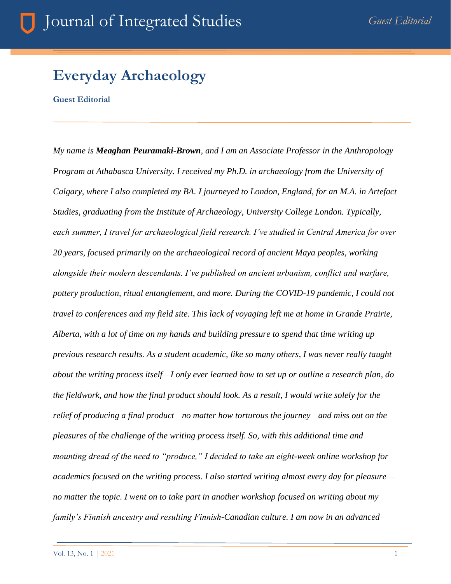## **Everyday Archaeology**

## **Guest Editorial**

*My name is Meaghan Peuramaki-Brown, and I am an Associate Professor in the Anthropology Program at Athabasca University. I received my Ph.D. in archaeology from the University of Calgary, where I also completed my BA. I journeyed to London, England, for an M.A. in Artefact Studies, graduating from the Institute of Archaeology, University College London. Typically, each summer, I travel for archaeological field research. I've studied in Central America for over 20 years, focused primarily on the archaeological record of ancient Maya peoples, working alongside their modern descendants. I've published on ancient urbanism, conflict and warfare, pottery production, ritual entanglement, and more. During the COVID-19 pandemic, I could not travel to conferences and my field site. This lack of voyaging left me at home in Grande Prairie, Alberta, with a lot of time on my hands and building pressure to spend that time writing up previous research results. As a student academic, like so many others, I was never really taught about the writing process itself—I only ever learned how to set up or outline a research plan, do the fieldwork, and how the final product should look. As a result, I would write solely for the relief of producing a final product—no matter how torturous the journey—and miss out on the pleasures of the challenge of the writing process itself. So, with this additional time and mounting dread of the need to "produce," I decided to take an eight-week online workshop for academics focused on the writing process. I also started writing almost every day for pleasure no matter the topic. I went on to take part in another workshop focused on writing about my family's Finnish ancestry and resulting Finnish-Canadian culture. I am now in an advanced*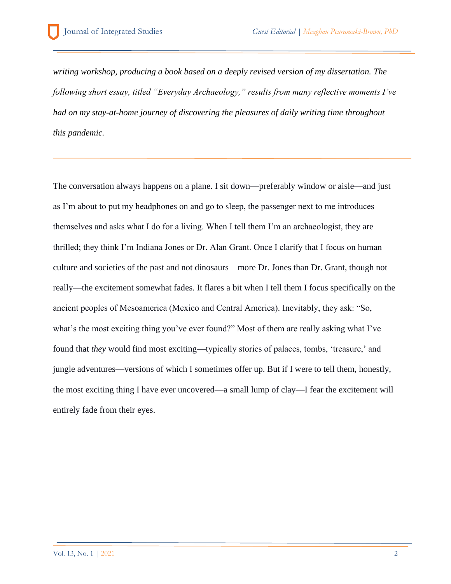*writing workshop, producing a book based on a deeply revised version of my dissertation. The following short essay, titled "Everyday Archaeology," results from many reflective moments I've had on my stay-at-home journey of discovering the pleasures of daily writing time throughout this pandemic.*

The conversation always happens on a plane. I sit down—preferably window or aisle—and just as I'm about to put my headphones on and go to sleep, the passenger next to me introduces themselves and asks what I do for a living. When I tell them I'm an archaeologist, they are thrilled; they think I'm Indiana Jones or Dr. Alan Grant. Once I clarify that I focus on human culture and societies of the past and not dinosaurs—more Dr. Jones than Dr. Grant, though not really—the excitement somewhat fades. It flares a bit when I tell them I focus specifically on the ancient peoples of Mesoamerica (Mexico and Central America). Inevitably, they ask: "So, what's the most exciting thing you've ever found?" Most of them are really asking what I've found that *they* would find most exciting—typically stories of palaces, tombs, 'treasure,' and jungle adventures—versions of which I sometimes offer up. But if I were to tell them, honestly, the most exciting thing I have ever uncovered—a small lump of clay—I fear the excitement will entirely fade from their eyes.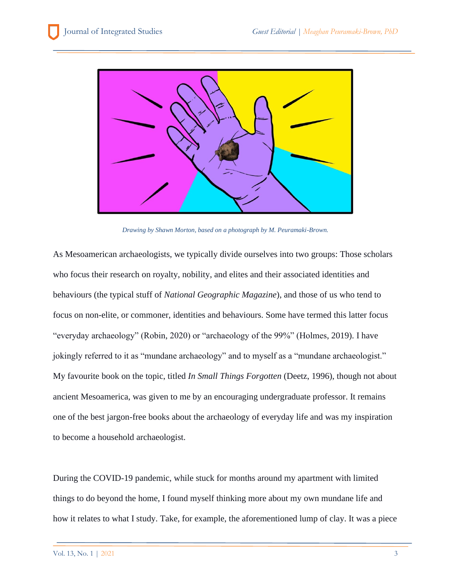

*Drawing by Shawn Morton, based on a photograph by M. Peuramaki-Brown.*

As Mesoamerican archaeologists, we typically divide ourselves into two groups: Those scholars who focus their research on royalty, nobility, and elites and their associated identities and behaviours (the typical stuff of *National Geographic Magazine*), and those of us who tend to focus on non-elite, or commoner, identities and behaviours. Some have termed this latter focus "everyday archaeology" (Robin, 2020) or "archaeology of the 99%" (Holmes, 2019). I have jokingly referred to it as "mundane archaeology" and to myself as a "mundane archaeologist." My favourite book on the topic, titled *In Small Things Forgotten* (Deetz, 1996), though not about ancient Mesoamerica, was given to me by an encouraging undergraduate professor. It remains one of the best jargon-free books about the archaeology of everyday life and was my inspiration to become a household archaeologist.

During the COVID-19 pandemic, while stuck for months around my apartment with limited things to do beyond the home, I found myself thinking more about my own mundane life and how it relates to what I study. Take, for example, the aforementioned lump of clay. It was a piece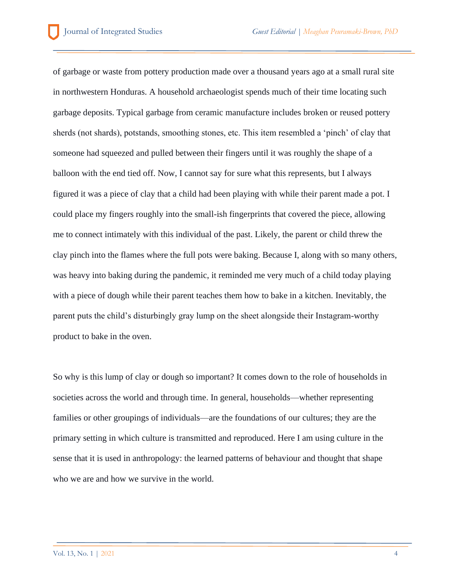of garbage or waste from pottery production made over a thousand years ago at a small rural site in northwestern Honduras. A household archaeologist spends much of their time locating such garbage deposits. Typical garbage from ceramic manufacture includes broken or reused pottery sherds (not shards), potstands, smoothing stones, etc. This item resembled a 'pinch' of clay that someone had squeezed and pulled between their fingers until it was roughly the shape of a balloon with the end tied off. Now, I cannot say for sure what this represents, but I always figured it was a piece of clay that a child had been playing with while their parent made a pot. I could place my fingers roughly into the small-ish fingerprints that covered the piece, allowing me to connect intimately with this individual of the past. Likely, the parent or child threw the clay pinch into the flames where the full pots were baking. Because I, along with so many others, was heavy into baking during the pandemic, it reminded me very much of a child today playing with a piece of dough while their parent teaches them how to bake in a kitchen. Inevitably, the parent puts the child's disturbingly gray lump on the sheet alongside their Instagram-worthy product to bake in the oven.

So why is this lump of clay or dough so important? It comes down to the role of households in societies across the world and through time. In general, households—whether representing families or other groupings of individuals—are the foundations of our cultures; they are the primary setting in which culture is transmitted and reproduced. Here I am using culture in the sense that it is used in anthropology: the learned patterns of behaviour and thought that shape who we are and how we survive in the world.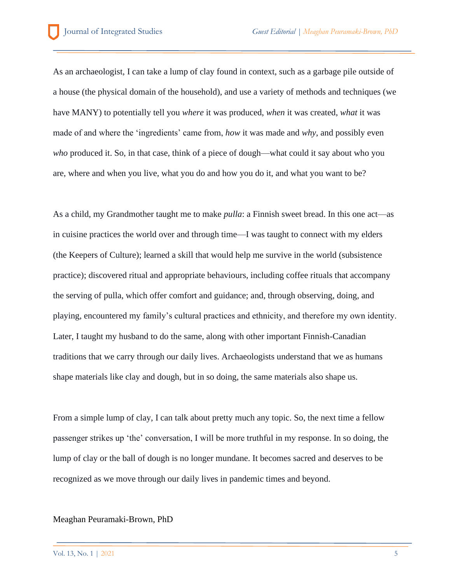As an archaeologist, I can take a lump of clay found in context, such as a garbage pile outside of a house (the physical domain of the household), and use a variety of methods and techniques (we have MANY) to potentially tell you *where* it was produced, *when* it was created, *what* it was made of and where the 'ingredients' came from, *how* it was made and *why*, and possibly even *who* produced it. So, in that case, think of a piece of dough—what could it say about who you are, where and when you live, what you do and how you do it, and what you want to be?

As a child, my Grandmother taught me to make *pulla*: a Finnish sweet bread. In this one act—as in cuisine practices the world over and through time—I was taught to connect with my elders (the Keepers of Culture); learned a skill that would help me survive in the world (subsistence practice); discovered ritual and appropriate behaviours, including coffee rituals that accompany the serving of pulla, which offer comfort and guidance; and, through observing, doing, and playing, encountered my family's cultural practices and ethnicity, and therefore my own identity. Later, I taught my husband to do the same, along with other important Finnish-Canadian traditions that we carry through our daily lives. Archaeologists understand that we as humans shape materials like clay and dough, but in so doing, the same materials also shape us.

From a simple lump of clay, I can talk about pretty much any topic. So, the next time a fellow passenger strikes up 'the' conversation, I will be more truthful in my response. In so doing, the lump of clay or the ball of dough is no longer mundane. It becomes sacred and deserves to be recognized as we move through our daily lives in pandemic times and beyond.

## Meaghan Peuramaki-Brown, PhD